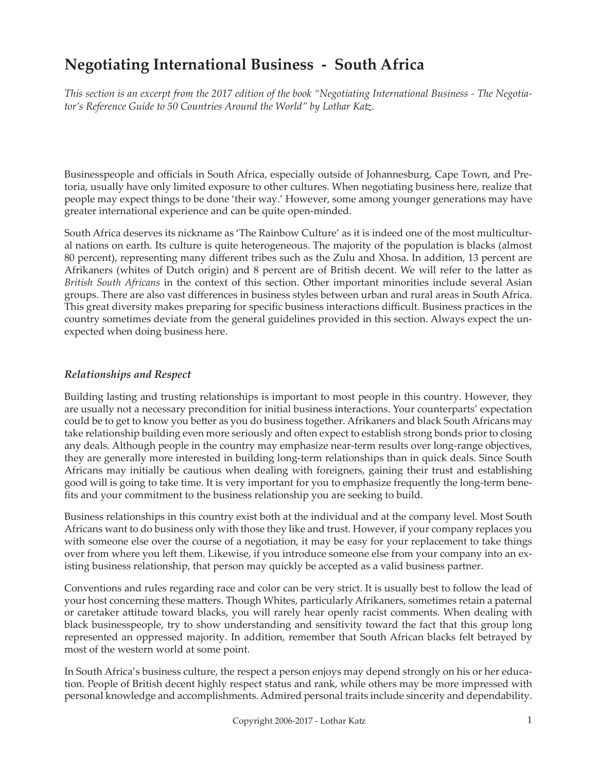# **Negotiating International Business - South Africa**

*This section is an excerpt from the 2017 edition of the book "Negotiating International Business - The Negotiator's Reference Guide to 50 Countries Around the World" by Lothar Katz.*

Businesspeople and officials in South Africa, especially outside of Johannesburg, Cape Town, and Pretoria, usually have only limited exposure to other cultures. When negotiating business here, realize that people may expect things to be done 'their way.' However, some among younger generations may have greater international experience and can be quite open-minded.

South Africa deserves its nickname as 'The Rainbow Culture' as it is indeed one of the most multicultural nations on earth. Its culture is quite heterogeneous. The majority of the population is blacks (almost 80 percent), representing many different tribes such as the Zulu and Xhosa. In addition, 13 percent are Afrikaners (whites of Dutch origin) and 8 percent are of British decent. We will refer to the latter as *British South Africans* in the context of this section. Other important minorities include several Asian groups. There are also vast differences in business styles between urban and rural areas in South Africa. This great diversity makes preparing for specific business interactions difficult. Business practices in the country sometimes deviate from the general guidelines provided in this section. Always expect the unexpected when doing business here.

#### *Relationships and Respect*

Building lasting and trusting relationships is important to most people in this country. However, they are usually not a necessary precondition for initial business interactions. Your counterparts' expectation could be to get to know you better as you do business together. Afrikaners and black South Africans may take relationship building even more seriously and often expect to establish strong bonds prior to closing any deals. Although people in the country may emphasize near-term results over long-range objectives, they are generally more interested in building long-term relationships than in quick deals. Since South Africans may initially be cautious when dealing with foreigners, gaining their trust and establishing good will is going to take time. It is very important for you to emphasize frequently the long-term benefits and your commitment to the business relationship you are seeking to build.

Business relationships in this country exist both at the individual and at the company level. Most South Africans want to do business only with those they like and trust. However, if your company replaces you with someone else over the course of a negotiation, it may be easy for your replacement to take things over from where you left them. Likewise, if you introduce someone else from your company into an existing business relationship, that person may quickly be accepted as a valid business partner.

Conventions and rules regarding race and color can be very strict. It is usually best to follow the lead of your host concerning these matters. Though Whites, particularly Afrikaners, sometimes retain a paternal or caretaker attitude toward blacks, you will rarely hear openly racist comments. When dealing with black businesspeople, try to show understanding and sensitivity toward the fact that this group long represented an oppressed majority. In addition, remember that South African blacks felt betrayed by most of the western world at some point.

In South Africa's business culture, the respect a person enjoys may depend strongly on his or her education. People of British decent highly respect status and rank, while others may be more impressed with personal knowledge and accomplishments. Admired personal traits include sincerity and dependability.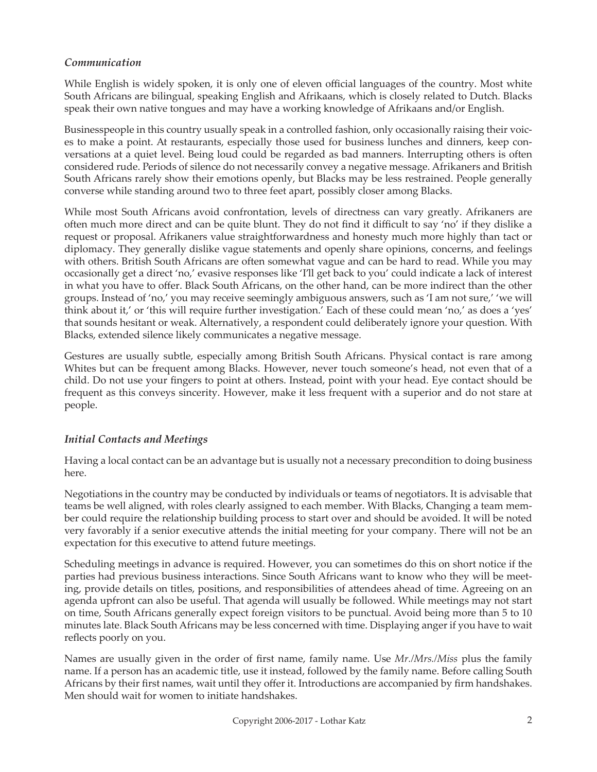### *Communication*

While English is widely spoken, it is only one of eleven official languages of the country. Most white South Africans are bilingual, speaking English and Afrikaans, which is closely related to Dutch. Blacks speak their own native tongues and may have a working knowledge of Afrikaans and/or English.

Businesspeople in this country usually speak in a controlled fashion, only occasionally raising their voices to make a point. At restaurants, especially those used for business lunches and dinners, keep conversations at a quiet level. Being loud could be regarded as bad manners. Interrupting others is often considered rude. Periods of silence do not necessarily convey a negative message. Afrikaners and British South Africans rarely show their emotions openly, but Blacks may be less restrained. People generally converse while standing around two to three feet apart, possibly closer among Blacks.

While most South Africans avoid confrontation, levels of directness can vary greatly. Afrikaners are often much more direct and can be quite blunt. They do not find it difficult to say 'no' if they dislike a request or proposal. Afrikaners value straightforwardness and honesty much more highly than tact or diplomacy. They generally dislike vague statements and openly share opinions, concerns, and feelings with others. British South Africans are often somewhat vague and can be hard to read. While you may occasionally get a direct 'no,' evasive responses like 'I'll get back to you' could indicate a lack of interest in what you have to offer. Black South Africans, on the other hand, can be more indirect than the other groups. Instead of 'no,' you may receive seemingly ambiguous answers, such as 'I am not sure,' 'we will think about it,' or 'this will require further investigation.' Each of these could mean 'no,' as does a 'yes' that sounds hesitant or weak. Alternatively, a respondent could deliberately ignore your question. With Blacks, extended silence likely communicates a negative message.

Gestures are usually subtle, especially among British South Africans. Physical contact is rare among Whites but can be frequent among Blacks. However, never touch someone's head, not even that of a child. Do not use your fingers to point at others. Instead, point with your head. Eye contact should be frequent as this conveys sincerity. However, make it less frequent with a superior and do not stare at people.

# *Initial Contacts and Meetings*

Having a local contact can be an advantage but is usually not a necessary precondition to doing business here.

Negotiations in the country may be conducted by individuals or teams of negotiators. It is advisable that teams be well aligned, with roles clearly assigned to each member. With Blacks, Changing a team member could require the relationship building process to start over and should be avoided. It will be noted very favorably if a senior executive attends the initial meeting for your company. There will not be an expectation for this executive to attend future meetings.

Scheduling meetings in advance is required. However, you can sometimes do this on short notice if the parties had previous business interactions. Since South Africans want to know who they will be meeting, provide details on titles, positions, and responsibilities of attendees ahead of time. Agreeing on an agenda upfront can also be useful. That agenda will usually be followed. While meetings may not start on time, South Africans generally expect foreign visitors to be punctual. Avoid being more than 5 to 10 minutes late. Black South Africans may be less concerned with time. Displaying anger if you have to wait reflects poorly on you.

Names are usually given in the order of first name, family name. Use *Mr./Mrs./Miss* plus the family name. If a person has an academic title, use it instead, followed by the family name. Before calling South Africans by their first names, wait until they offer it. Introductions are accompanied by firm handshakes. Men should wait for women to initiate handshakes.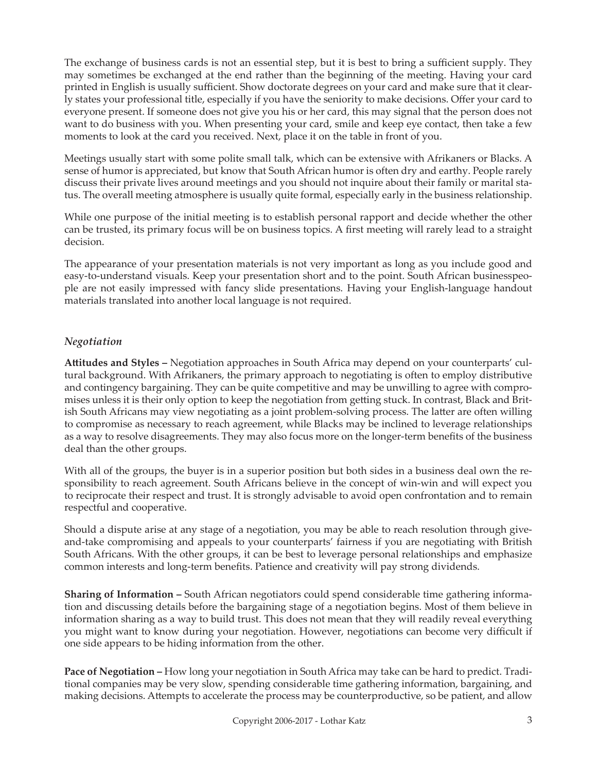The exchange of business cards is not an essential step, but it is best to bring a sufficient supply. They may sometimes be exchanged at the end rather than the beginning of the meeting. Having your card printed in English is usually sufficient. Show doctorate degrees on your card and make sure that it clearly states your professional title, especially if you have the seniority to make decisions. Offer your card to everyone present. If someone does not give you his or her card, this may signal that the person does not want to do business with you. When presenting your card, smile and keep eye contact, then take a few moments to look at the card you received. Next, place it on the table in front of you.

Meetings usually start with some polite small talk, which can be extensive with Afrikaners or Blacks. A sense of humor is appreciated, but know that South African humor is often dry and earthy. People rarely discuss their private lives around meetings and you should not inquire about their family or marital status. The overall meeting atmosphere is usually quite formal, especially early in the business relationship.

While one purpose of the initial meeting is to establish personal rapport and decide whether the other can be trusted, its primary focus will be on business topics. A first meeting will rarely lead to a straight decision.

The appearance of your presentation materials is not very important as long as you include good and easy-to-understand visuals. Keep your presentation short and to the point. South African businesspeople are not easily impressed with fancy slide presentations. Having your English-language handout materials translated into another local language is not required.

## *Negotiation*

**Attitudes and Styles –** Negotiation approaches in South Africa may depend on your counterparts' cultural background. With Afrikaners, the primary approach to negotiating is often to employ distributive and contingency bargaining. They can be quite competitive and may be unwilling to agree with compromises unless it is their only option to keep the negotiation from getting stuck. In contrast, Black and British South Africans may view negotiating as a joint problem-solving process. The latter are often willing to compromise as necessary to reach agreement, while Blacks may be inclined to leverage relationships as a way to resolve disagreements. They may also focus more on the longer-term benefits of the business deal than the other groups.

With all of the groups, the buyer is in a superior position but both sides in a business deal own the responsibility to reach agreement. South Africans believe in the concept of win-win and will expect you to reciprocate their respect and trust. It is strongly advisable to avoid open confrontation and to remain respectful and cooperative.

Should a dispute arise at any stage of a negotiation, you may be able to reach resolution through giveand-take compromising and appeals to your counterparts' fairness if you are negotiating with British South Africans. With the other groups, it can be best to leverage personal relationships and emphasize common interests and long-term benefits. Patience and creativity will pay strong dividends.

**Sharing of Information –** South African negotiators could spend considerable time gathering information and discussing details before the bargaining stage of a negotiation begins. Most of them believe in information sharing as a way to build trust. This does not mean that they will readily reveal everything you might want to know during your negotiation. However, negotiations can become very difficult if one side appears to be hiding information from the other.

**Pace of Negotiation –** How long your negotiation in South Africa may take can be hard to predict. Traditional companies may be very slow, spending considerable time gathering information, bargaining, and making decisions. Attempts to accelerate the process may be counterproductive, so be patient, and allow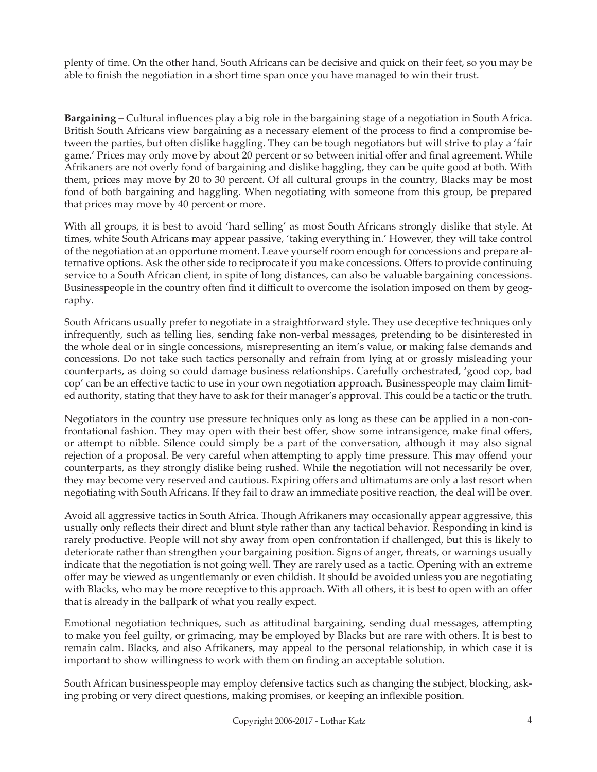plenty of time. On the other hand, South Africans can be decisive and quick on their feet, so you may be able to finish the negotiation in a short time span once you have managed to win their trust.

**Bargaining –** Cultural influences play a big role in the bargaining stage of a negotiation in South Africa. British South Africans view bargaining as a necessary element of the process to find a compromise between the parties, but often dislike haggling. They can be tough negotiators but will strive to play a 'fair game.' Prices may only move by about 20 percent or so between initial offer and final agreement. While Afrikaners are not overly fond of bargaining and dislike haggling, they can be quite good at both. With them, prices may move by 20 to 30 percent. Of all cultural groups in the country, Blacks may be most fond of both bargaining and haggling. When negotiating with someone from this group, be prepared that prices may move by 40 percent or more.

With all groups, it is best to avoid 'hard selling' as most South Africans strongly dislike that style. At times, white South Africans may appear passive, 'taking everything in.' However, they will take control of the negotiation at an opportune moment. Leave yourself room enough for concessions and prepare alternative options. Ask the other side to reciprocate if you make concessions. Offers to provide continuing service to a South African client, in spite of long distances, can also be valuable bargaining concessions. Businesspeople in the country often find it difficult to overcome the isolation imposed on them by geography.

South Africans usually prefer to negotiate in a straightforward style. They use deceptive techniques only infrequently, such as telling lies, sending fake non-verbal messages, pretending to be disinterested in the whole deal or in single concessions, misrepresenting an item's value, or making false demands and concessions. Do not take such tactics personally and refrain from lying at or grossly misleading your counterparts, as doing so could damage business relationships. Carefully orchestrated, 'good cop, bad cop' can be an effective tactic to use in your own negotiation approach. Businesspeople may claim limited authority, stating that they have to ask for their manager's approval. This could be a tactic or the truth.

Negotiators in the country use pressure techniques only as long as these can be applied in a non-confrontational fashion. They may open with their best offer, show some intransigence, make final offers, or attempt to nibble. Silence could simply be a part of the conversation, although it may also signal rejection of a proposal. Be very careful when attempting to apply time pressure. This may offend your counterparts, as they strongly dislike being rushed. While the negotiation will not necessarily be over, they may become very reserved and cautious. Expiring offers and ultimatums are only a last resort when negotiating with South Africans. If they fail to draw an immediate positive reaction, the deal will be over.

Avoid all aggressive tactics in South Africa. Though Afrikaners may occasionally appear aggressive, this usually only reflects their direct and blunt style rather than any tactical behavior. Responding in kind is rarely productive. People will not shy away from open confrontation if challenged, but this is likely to deteriorate rather than strengthen your bargaining position. Signs of anger, threats, or warnings usually indicate that the negotiation is not going well. They are rarely used as a tactic. Opening with an extreme offer may be viewed as ungentlemanly or even childish. It should be avoided unless you are negotiating with Blacks, who may be more receptive to this approach. With all others, it is best to open with an offer that is already in the ballpark of what you really expect.

Emotional negotiation techniques, such as attitudinal bargaining, sending dual messages, attempting to make you feel guilty, or grimacing, may be employed by Blacks but are rare with others. It is best to remain calm. Blacks, and also Afrikaners, may appeal to the personal relationship, in which case it is important to show willingness to work with them on finding an acceptable solution.

South African businesspeople may employ defensive tactics such as changing the subject, blocking, asking probing or very direct questions, making promises, or keeping an inflexible position.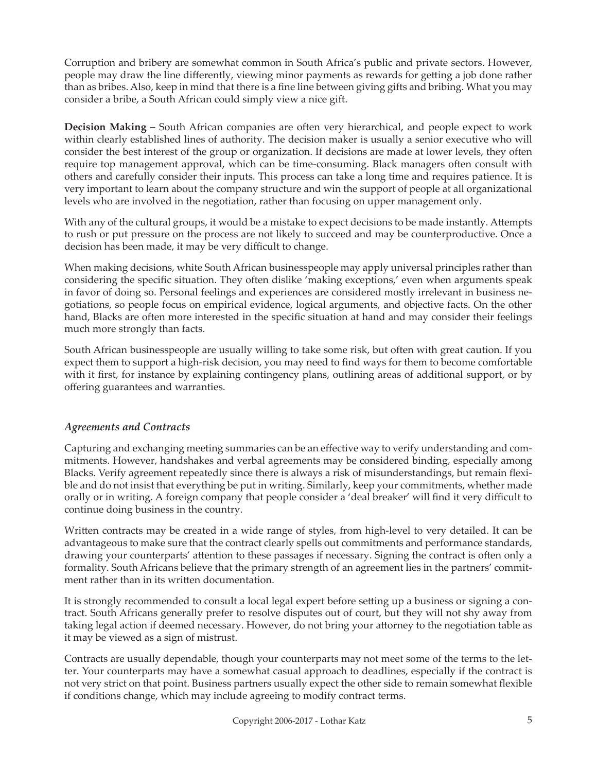Corruption and bribery are somewhat common in South Africa's public and private sectors. However, people may draw the line differently, viewing minor payments as rewards for getting a job done rather than as bribes. Also, keep in mind that there is a fine line between giving gifts and bribing. What you may consider a bribe, a South African could simply view a nice gift.

**Decision Making –** South African companies are often very hierarchical, and people expect to work within clearly established lines of authority. The decision maker is usually a senior executive who will consider the best interest of the group or organization. If decisions are made at lower levels, they often require top management approval, which can be time-consuming. Black managers often consult with others and carefully consider their inputs. This process can take a long time and requires patience. It is very important to learn about the company structure and win the support of people at all organizational levels who are involved in the negotiation, rather than focusing on upper management only.

With any of the cultural groups, it would be a mistake to expect decisions to be made instantly. Attempts to rush or put pressure on the process are not likely to succeed and may be counterproductive. Once a decision has been made, it may be very difficult to change.

When making decisions, white South African businesspeople may apply universal principles rather than considering the specific situation. They often dislike 'making exceptions,' even when arguments speak in favor of doing so. Personal feelings and experiences are considered mostly irrelevant in business negotiations, so people focus on empirical evidence, logical arguments, and objective facts. On the other hand, Blacks are often more interested in the specific situation at hand and may consider their feelings much more strongly than facts.

South African businesspeople are usually willing to take some risk, but often with great caution. If you expect them to support a high-risk decision, you may need to find ways for them to become comfortable with it first, for instance by explaining contingency plans, outlining areas of additional support, or by offering guarantees and warranties.

### *Agreements and Contracts*

Capturing and exchanging meeting summaries can be an effective way to verify understanding and commitments. However, handshakes and verbal agreements may be considered binding, especially among Blacks. Verify agreement repeatedly since there is always a risk of misunderstandings, but remain flexible and do not insist that everything be put in writing. Similarly, keep your commitments, whether made orally or in writing. A foreign company that people consider a 'deal breaker' will find it very difficult to continue doing business in the country.

Written contracts may be created in a wide range of styles, from high-level to very detailed. It can be advantageous to make sure that the contract clearly spells out commitments and performance standards, drawing your counterparts' attention to these passages if necessary. Signing the contract is often only a formality. South Africans believe that the primary strength of an agreement lies in the partners' commitment rather than in its written documentation.

It is strongly recommended to consult a local legal expert before setting up a business or signing a contract. South Africans generally prefer to resolve disputes out of court, but they will not shy away from taking legal action if deemed necessary. However, do not bring your attorney to the negotiation table as it may be viewed as a sign of mistrust.

Contracts are usually dependable, though your counterparts may not meet some of the terms to the letter. Your counterparts may have a somewhat casual approach to deadlines, especially if the contract is not very strict on that point. Business partners usually expect the other side to remain somewhat flexible if conditions change, which may include agreeing to modify contract terms.